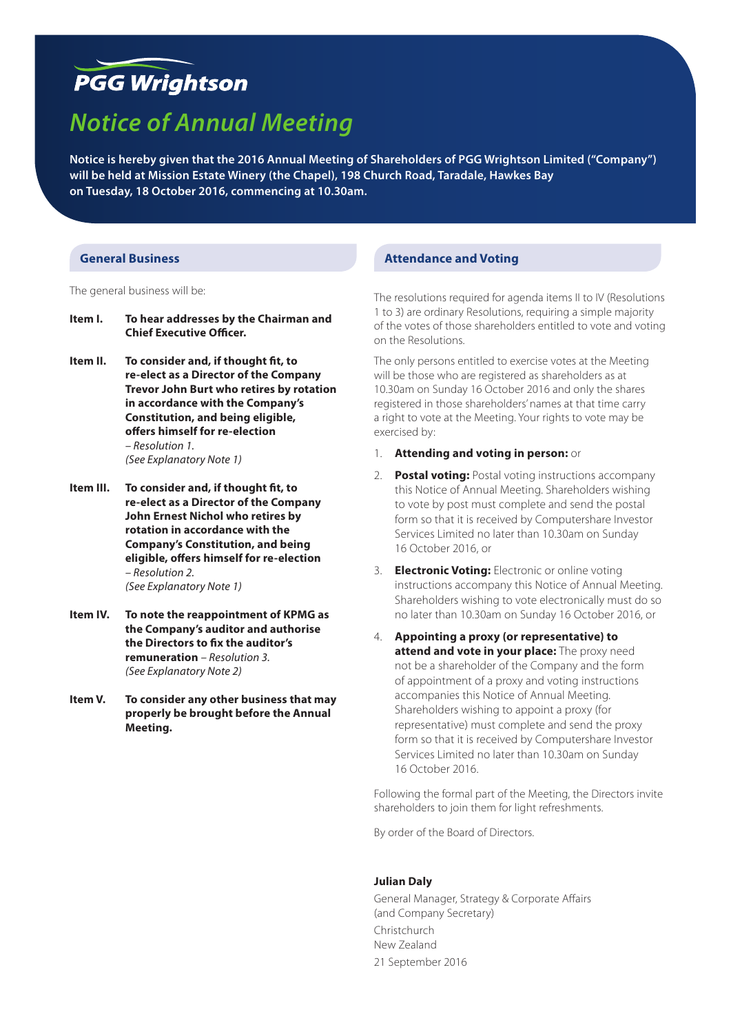## **PGG Wrightson**

# *Notice of Annual Meeting*

**Notice is hereby given that the 2016 Annual Meeting of Shareholders of PGG Wrightson Limited ("Company") will be held at Mission Estate Winery (the Chapel), 198 Church Road, Taradale, Hawkes Bay on Tuesday, 18 October 2016, commencing at 10.30am.**

#### **General Business**

The general business will be:

- **Item I. To hear addresses by the Chairman and Chief Executive Officer.**
- **Item II. To consider and, if thought fit, to re-elect as a Director of the Company Trevor John Burt who retires by rotation in accordance with the Company's Constitution, and being eligible, offers himself for re-election**  *– Resolution 1. (See Explanatory Note 1)*
- **Item III. To consider and, if thought fit, to re-elect as a Director of the Company John Ernest Nichol who retires by rotation in accordance with the Company's Constitution, and being eligible, offers himself for re-election**  *– Resolution 2. (See Explanatory Note 1)*
- **Item IV. To note the reappointment of KPMG as the Company's auditor and authorise the Directors to fix the auditor's remuneration** *– Resolution 3. (See Explanatory Note 2)*
- **Item V. To consider any other business that may properly be brought before the Annual Meeting.**

## **Attendance and Voting**

The resolutions required for agenda items II to IV (Resolutions 1 to 3) are ordinary Resolutions, requiring a simple majority of the votes of those shareholders entitled to vote and voting on the Resolutions.

The only persons entitled to exercise votes at the Meeting will be those who are registered as shareholders as at 10.30am on Sunday 16 October 2016 and only the shares registered in those shareholders' names at that time carry a right to vote at the Meeting. Your rights to vote may be exercised by:

#### 1. **Attending and voting in person:** or

- 2. **Postal voting:** Postal voting instructions accompany this Notice of Annual Meeting. Shareholders wishing to vote by post must complete and send the postal form so that it is received by Computershare Investor Services Limited no later than 10.30am on Sunday 16 October 2016, or
- 3. **Electronic Voting:** Electronic or online voting instructions accompany this Notice of Annual Meeting. Shareholders wishing to vote electronically must do so no later than 10.30am on Sunday 16 October 2016, or
- 4. **Appointing a proxy (or representative) to attend and vote in your place:** The proxy need not be a shareholder of the Company and the form of appointment of a proxy and voting instructions accompanies this Notice of Annual Meeting. Shareholders wishing to appoint a proxy (for representative) must complete and send the proxy form so that it is received by Computershare Investor Services Limited no later than 10.30am on Sunday 16 October 2016.

Following the formal part of the Meeting, the Directors invite shareholders to join them for light refreshments.

By order of the Board of Directors.

#### **Julian Daly**

General Manager, Strategy & Corporate Affairs (and Company Secretary) Christchurch New Zealand 21 September 2016